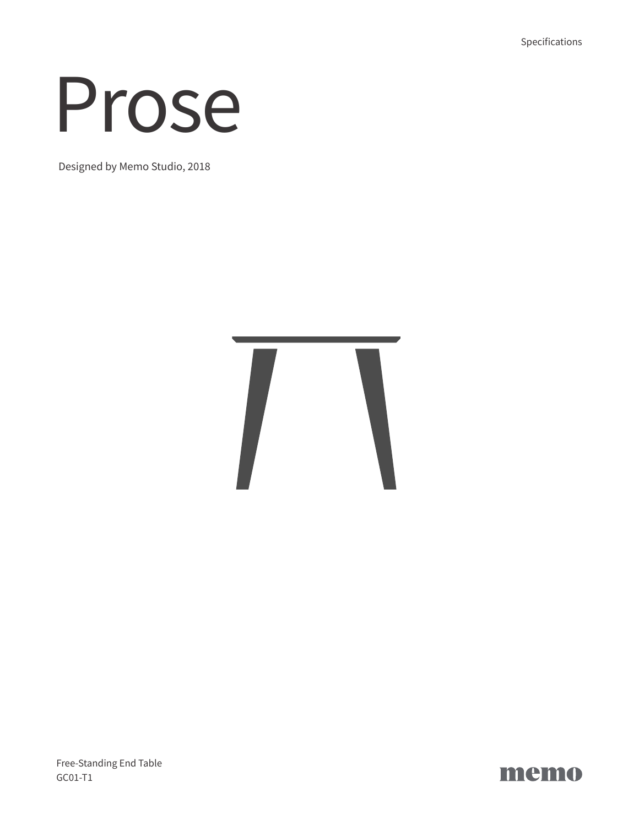Specifications

# Prose

Designed by Memo Studio, 2018



Free-Standing End Table GC01-T1

memo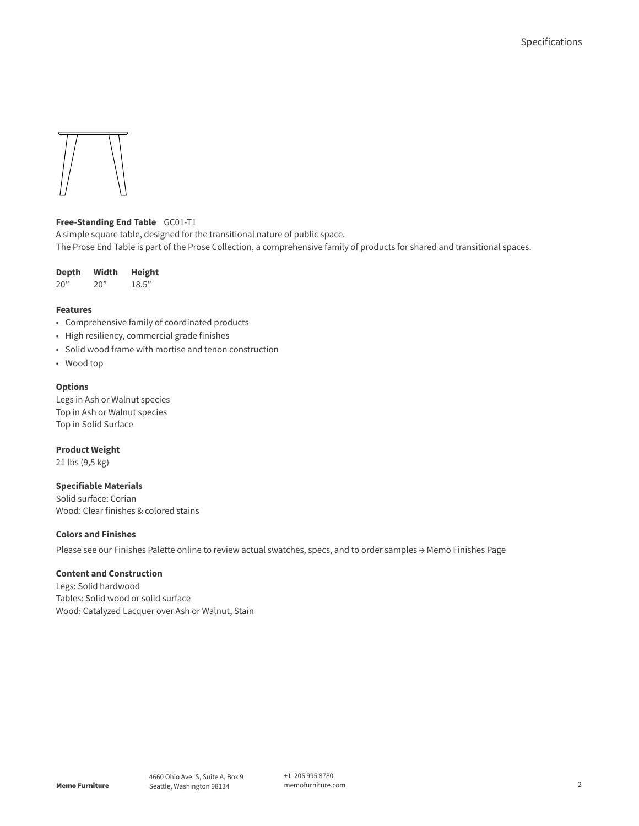

## **Free-Standing End Table** GC01-T1

A simple square table, designed for the transitional nature of public space. The Prose End Table is part of the Prose Collection, a comprehensive family of products for shared and transitional spaces.

**Depth Width Height** 20" 20" 18.5"

#### **Features**

- Comprehensive family of coordinated products
- High resiliency, commercial grade finishes
- Solid wood frame with mortise and tenon construction
- Wood top

#### **Options**

Legs in Ash or Walnut species Top in Ash or Walnut species Top in Solid Surface

# **Product Weight**

21 lbs (9,5 kg)

# **Specifiable Materials**

Solid surface: Corian Wood: Clear finishes & colored stains

## **Colors and Finishes**

Please see our Finishes Palette online to review actual swatches, specs, and to order samples [→ Memo Finishes Page](https://memofurniture.com/finishes)

#### **Content and Construction**

Legs: Solid hardwood Tables: Solid wood or solid surface Wood: Catalyzed Lacquer over Ash or Walnut, Stain